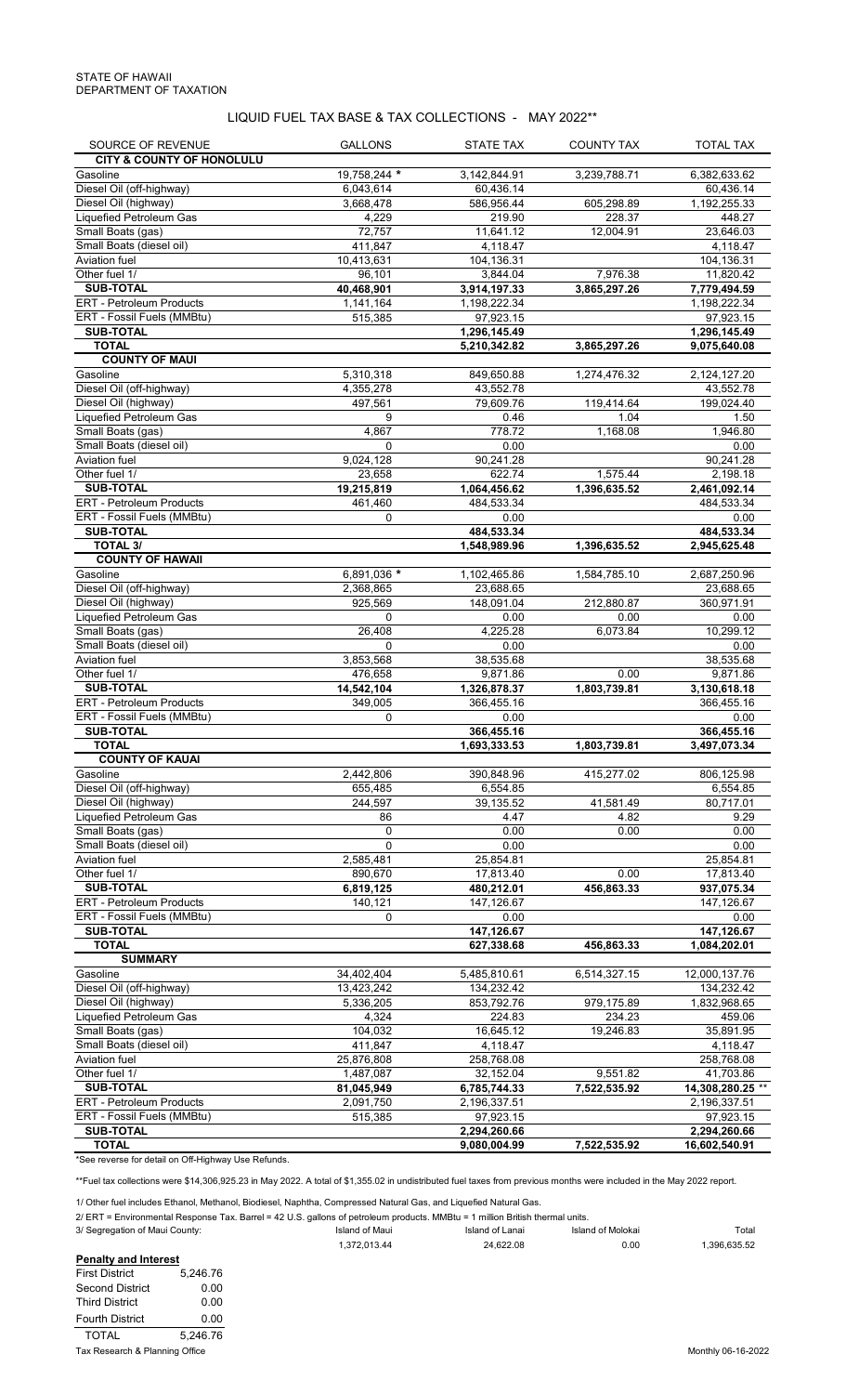LIQUID FUEL TAX BASE & TAX COLLECTIONS - MAY 2022\*\*

| SOURCE OF REVENUE                            | <b>GALLONS</b>       | <b>STATE TAX</b>         | <b>COUNTY TAX</b>        | <b>TOTAL TAX</b>             |
|----------------------------------------------|----------------------|--------------------------|--------------------------|------------------------------|
| <b>CITY &amp; COUNTY OF HONOLULU</b>         |                      |                          |                          |                              |
| Gasoline                                     | 19,758,244 *         | 3,142,844.91             | 3,239,788.71             | 6,382,633.62                 |
| Diesel Oil (off-highway)                     | 6,043,614            | 60,436.14                |                          | 60,436.14                    |
| Diesel Oil (highway)                         | 3,668,478            | 586,956.44               | 605,298.89               | 1,192,255.33                 |
| Liquefied Petroleum Gas                      | 4,229                | 219.90                   | 228.37                   | 448.27                       |
| Small Boats (gas)                            | 72,757               | 11,641.12                | 12,004.91                | 23,646.03                    |
| Small Boats (diesel oil)                     | 411,847              | 4,118.47                 |                          | 4,118.47                     |
| Aviation fuel<br>Other fuel 1/               | 10,413,631           | 104,136.31               |                          | 104,136.31                   |
| <b>SUB-TOTAL</b>                             | 96,101<br>40,468,901 | 3,844.04<br>3,914,197.33 | 7,976.38<br>3,865,297.26 | 11,820.42                    |
| <b>ERT - Petroleum Products</b>              | 1,141,164            | 1,198,222.34             |                          | 7,779,494.59<br>1,198,222.34 |
| ERT - Fossil Fuels (MMBtu)                   | 515,385              | 97,923.15                |                          | 97,923.15                    |
| <b>SUB-TOTAL</b>                             |                      | 1,296,145.49             |                          | 1,296,145.49                 |
| <b>TOTAL</b>                                 |                      | 5,210,342.82             | 3,865,297.26             | 9,075,640.08                 |
| <b>COUNTY OF MAUI</b>                        |                      |                          |                          |                              |
| Gasoline                                     | 5,310,318            | 849,650.88               | 1,274,476.32             | 2, 124, 127.20               |
| Diesel Oil (off-highway)                     | 4,355,278            | 43,552.78                |                          | 43,552.78                    |
| Diesel Oil (highway)                         | 497,561              | 79,609.76                | 119,414.64               | 199,024.40                   |
| Liquefied Petroleum Gas                      | 9                    | 0.46                     | 1.04                     | 1.50                         |
| Small Boats (gas)                            | 4,867                | 778.72                   | 1,168.08                 | 1,946.80                     |
| Small Boats (diesel oil)                     | $\Omega$             | 0.00                     |                          | 0.00                         |
| Aviation fuel                                | 9,024,128            | 90,241.28                |                          | 90,241.28                    |
| Other fuel 1/                                | 23,658               | 622.74                   | 1,575.44                 | 2,198.18                     |
| <b>SUB-TOTAL</b>                             | 19,215,819           | 1,064,456.62             | 1,396,635.52             | 2,461,092.14                 |
| ERT - Petroleum Products                     | 461,460              | 484,533.34               |                          | 484,533.34                   |
| ERT - Fossil Fuels (MMBtu)                   | 0                    | 0.00                     |                          | 0.00                         |
| <b>SUB-TOTAL</b>                             |                      | 484,533.34               |                          | 484,533.34                   |
| <b>TOTAL 3/</b>                              |                      | 1,548,989.96             | 1,396,635.52             | 2,945,625.48                 |
| <b>COUNTY OF HAWAII</b>                      |                      |                          |                          |                              |
| Gasoline<br>Diesel Oil (off-highway)         | 6,891,036 *          | 1,102,465.86             | 1,584,785.10             | 2,687,250.96                 |
| Diesel Oil (highway)                         | 2,368,865<br>925,569 | 23,688.65<br>148,091.04  | 212,880.87               | 23,688.65<br>360,971.91      |
| Liquefied Petroleum Gas                      | 0                    | 0.00                     | 0.00                     | 0.00                         |
| Small Boats (gas)                            | 26,408               | 4,225.28                 | 6,073.84                 | 10,299.12                    |
| Small Boats (diesel oil)                     | 0                    | 0.00                     |                          | 0.00                         |
| Aviation fuel                                | 3,853,568            | 38,535.68                |                          | 38,535.68                    |
| Other fuel 1/                                | 476,658              | 9,871.86                 | 0.00                     | 9,871.86                     |
| <b>SUB-TOTAL</b>                             | 14,542,104           | 1,326,878.37             | 1,803,739.81             | 3,130,618.18                 |
| <b>ERT - Petroleum Products</b>              | 349,005              | 366,455.16               |                          | 366,455.16                   |
| ERT - Fossil Fuels (MMBtu)                   | 0                    | 0.00                     |                          | 0.00                         |
| <b>SUB-TOTAL</b>                             |                      | 366,455.16               |                          | 366,455.16                   |
| <b>TOTAL</b>                                 |                      | 1,693,333.53             | 1,803,739.81             | 3,497,073.34                 |
| <b>COUNTY OF KAUAI</b>                       |                      |                          |                          |                              |
| Gasoline                                     | 2,442,806            | 390,848.96               | 415,277.02               | 806,125.98                   |
| Diesel Oil (off-highway)                     | 655,485              | 6,554.85                 |                          | 6,554.85                     |
| Diesel Oil (highway)                         | 244,597              | 39,135.52                | 41,581.49                | 80,717.01                    |
| Liquefied Petroleum Gas                      | 86                   | 4.47                     | 4.82                     | 9.29                         |
| Small Boats (gas)                            | 0                    | 0.00                     | 0.00                     | 0.00                         |
| Small Boats (diesel oil)                     | $\mathbf 0$          | 0.00                     |                          | 0.00                         |
| Aviation fuel<br>Other fuel 1/               | 2,585,481<br>890,670 | 25,854.81                |                          | 25,854.81                    |
|                                              |                      | 17,813.40                | 0.00                     | 17,813.40                    |
| <b>SUB-TOTAL</b><br>ERT - Petroleum Products | 6,819,125<br>140,121 | 480,212.01<br>147,126.67 | 456,863.33               | 937,075.34<br>147,126.67     |
| ERT - Fossil Fuels (MMBtu)                   | 0                    | 0.00                     |                          | 0.00                         |
| <b>SUB-TOTAL</b>                             |                      | 147,126.67               |                          | 147,126.67                   |
| <b>TOTAL</b>                                 |                      | 627,338.68               | 456,863.33               | 1,084,202.01                 |
| <b>SUMMARY</b>                               |                      |                          |                          |                              |
| Gasoline                                     | 34,402,404           | 5,485,810.61             | 6,514,327.15             | 12,000,137.76                |
| Diesel Oil (off-highway)                     | 13,423,242           | 134,232.42               |                          | 134,232.42                   |
| Diesel Oil (highway)                         | 5,336,205            | 853,792.76               | 979,175.89               | 1,832,968.65                 |
| <b>Liquefied Petroleum Gas</b>               | 4,324                | 224.83                   | 234.23                   | 459.06                       |
| Small Boats (gas)                            | 104,032              | 16,645.12                | 19,246.83                | 35,891.95                    |
| Small Boats (diesel oil)                     | 411,847              | 4,118.47                 |                          | 4,118.47                     |
| Aviation fuel                                | 25,876,808           | 258,768.08               |                          | 258,768.08                   |
| Other fuel 1/                                | 1,487,087            | 32,152.04                | 9,551.82                 | 41,703.86                    |
| <b>SUB-TOTAL</b>                             | 81,045,949           | 6,785,744.33             | 7,522,535.92             | 14,308,280.25 **             |
| ERT - Petroleum Products                     | 2,091,750            | 2,196,337.51             |                          | 2,196,337.51                 |
| ERT - Fossil Fuels (MMBtu)                   | 515,385              | 97,923.15                |                          | 97,923.15                    |
| <b>SUB-TOTAL</b>                             |                      | 2,294,260.66             |                          | 2,294,260.66                 |
| <b>TOTAL</b>                                 |                      | 9,080,004.99             | 7,522,535.92             | 16,602,540.91                |

\*See reverse for detail on Off-Highway Use Refunds.

\*\*Fuel tax collections were \$14,306,925.23 in May 2022. A total of \$1,355.02 in undistributed fuel taxes from previous months were included in the May 2022 report.

1/ Other fuel includes Ethanol, Methanol, Biodiesel, Naphtha, Compressed Natural Gas, and Liquefied Natural Gas.

2/ ERT = Environmental Response Tax. Barrel = 42 U.S. gallons of petroleum products. MMBtu = 1 million British thermal units.

| 3/ Segregation of Maui County: | Island of Maui | Island of Lanai | Island of Molokai | Total       |
|--------------------------------|----------------|-----------------|-------------------|-------------|
|                                | .372.013.44    | 24.622.08       | 0.00              | .396.635.52 |

| <b>Penalty and Interest</b>    |          |
|--------------------------------|----------|
| <b>First District</b>          | 5,246.76 |
| <b>Second District</b>         | 0.00     |
| <b>Third District</b>          | 0.00     |
| <b>Fourth District</b>         | 0.00     |
| <b>TOTAL</b>                   | 5.246.76 |
| Tax Research & Planning Office |          |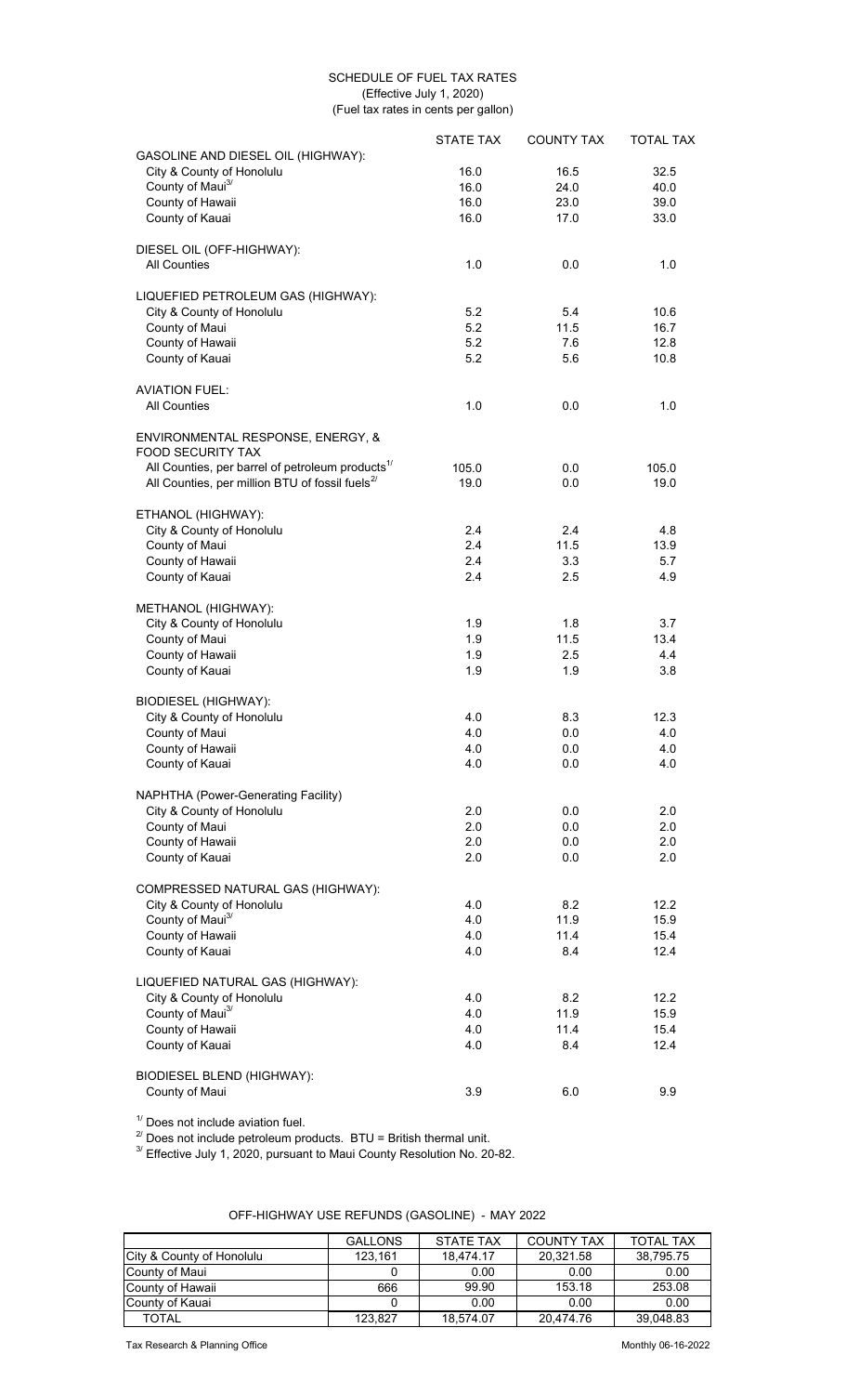## SCHEDULE OF FUEL TAX RATES (Effective July 1, 2020) (Fuel tax rates in cents per gallon)

|                                                               | <b>STATE TAX</b> | <b>COUNTY TAX</b> | <b>TOTAL TAX</b> |
|---------------------------------------------------------------|------------------|-------------------|------------------|
| GASOLINE AND DIESEL OIL (HIGHWAY):                            |                  |                   |                  |
| City & County of Honolulu                                     | 16.0             | 16.5              | 32.5             |
| County of Maui <sup>3/</sup>                                  | 16.0             | 24.0              | 40.0             |
| County of Hawaii                                              | 16.0             | 23.0              | 39.0             |
| County of Kauai                                               | 16.0             | 17.0              | 33.0             |
| DIESEL OIL (OFF-HIGHWAY):                                     |                  |                   |                  |
| <b>All Counties</b>                                           | 1.0              | 0.0               | 1.0              |
| LIQUEFIED PETROLEUM GAS (HIGHWAY):                            |                  |                   |                  |
| City & County of Honolulu                                     | 5.2              | 5.4               | 10.6             |
| County of Maui                                                | 5.2              | 11.5              | 16.7             |
| County of Hawaii                                              | 5.2              | 7.6               | 12.8             |
| County of Kauai                                               | 5.2              | 5.6               | 10.8             |
| <b>AVIATION FUEL:</b>                                         |                  |                   |                  |
| <b>All Counties</b>                                           | 1.0              | 0.0               | 1.0              |
| ENVIRONMENTAL RESPONSE, ENERGY, &<br><b>FOOD SECURITY TAX</b> |                  |                   |                  |
| All Counties, per barrel of petroleum products <sup>1/</sup>  | 105.0            | 0.0               | 105.0            |
| All Counties, per million BTU of fossil fuels <sup>2/</sup>   | 19.0             | 0.0               | 19.0             |
|                                                               |                  |                   |                  |
| ETHANOL (HIGHWAY):                                            | 2.4              | 2.4               | 4.8              |
| City & County of Honolulu                                     | 2.4              | 11.5              | 13.9             |
| County of Maui<br>County of Hawaii                            | 2.4              | 3.3               | 5.7              |
| County of Kauai                                               | 2.4              | 2.5               | 4.9              |
|                                                               |                  |                   |                  |
| METHANOL (HIGHWAY):                                           | 1.9              | 1.8               | 3.7              |
| City & County of Honolulu                                     |                  |                   |                  |
| County of Maui                                                | 1.9<br>1.9       | 11.5<br>2.5       | 13.4             |
| County of Hawaii<br>County of Kauai                           | 1.9              | 1.9               | 4.4<br>3.8       |
|                                                               |                  |                   |                  |
| <b>BIODIESEL (HIGHWAY):</b>                                   |                  |                   |                  |
| City & County of Honolulu                                     | 4.0              | 8.3               | 12.3             |
| County of Maui                                                | 4.0              | 0.0               | 4.0              |
| County of Hawaii                                              | 4.0              | 0.0               | 4.0              |
| County of Kauai                                               | 4.0              | 0.0               | 4.0              |
| NAPHTHA (Power-Generating Facility)                           |                  |                   |                  |
| City & County of Honolulu                                     | 2.0              | 0.0               | 2.0              |
| County of Maui                                                | 2.0              | 0.0               | 2.0              |
| County of Hawaii                                              | 2.0              | 0.0               | 2.0              |
| County of Kauai                                               | 2.0              | 0.0               | 2.0              |
| COMPRESSED NATURAL GAS (HIGHWAY):                             |                  |                   |                  |
| City & County of Honolulu                                     | 4.0              | 8.2               | 12.2             |
| County of Maui <sup>3/</sup>                                  | 4.0              | 11.9              | 15.9             |
| County of Hawaii                                              | 4.0              | 11.4              | 15.4             |
| County of Kauai                                               | 4.0              | 8.4               | 12.4             |
| LIQUEFIED NATURAL GAS (HIGHWAY):                              |                  |                   |                  |
| City & County of Honolulu                                     | 4.0              | 8.2               | 12.2             |
| County of Maui <sup>3/</sup>                                  | 4.0              | 11.9              | 15.9             |
| County of Hawaii                                              | 4.0              | 11.4              | 15.4             |
| County of Kauai                                               | 4.0              | 8.4               | 12.4             |
| <b>BIODIESEL BLEND (HIGHWAY):</b>                             |                  |                   |                  |
| County of Maui                                                | 3.9              | 6.0               | 9.9              |

 $1/$  Does not include aviation fuel.

 $^{2}$  Does not include petroleum products. BTU = British thermal unit.

 $3'$  Effective July 1, 2020, pursuant to Maui County Resolution No. 20-82.

|                           | <b>GALLONS</b> | <b>STATE TAX</b> | <b>COUNTY TAX</b> | <b>TOTAL TAX</b> |
|---------------------------|----------------|------------------|-------------------|------------------|
| City & County of Honolulu | 123.161        | 18.474.17        | 20.321.58         | 38,795.75        |
| County of Maui            |                | 0.00             | 0.00              | 0.00             |
| County of Hawaii          | 666            | 99.90            | 153.18            | 253.08           |
| County of Kauai           |                | 0.00             | 0.00              | 0.00             |
| <b>TOTAL</b>              | 123.827        | 18.574.07        | 20.474.76         | 39,048.83        |

OFF-HIGHWAY USE REFUNDS (GASOLINE) - MAY 2022

Tax Research & Planning Office **Monthly 06-16-2022**